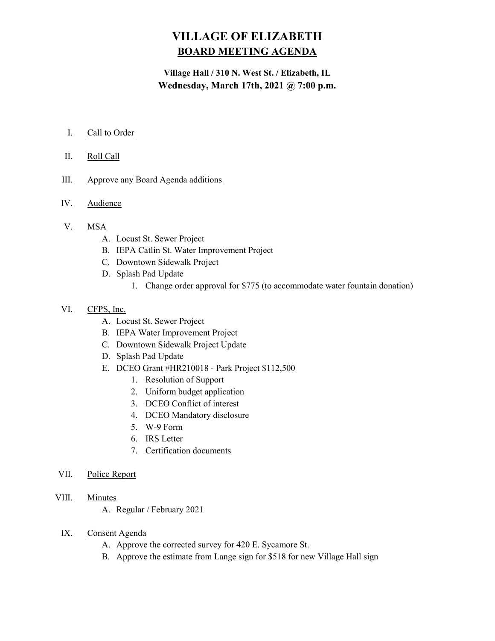# VILLAGE OF ELIZABETH BOARD MEETING AGENDA

# Village Hall / 310 N. West St. / Elizabeth, IL Wednesday, March 17th, 2021 @ 7:00 p.m.

- I. Call to Order
- II. Roll Call
- III. Approve any Board Agenda additions
- IV. Audience
- V. MSA
	- A. Locust St. Sewer Project
	- B. IEPA Catlin St. Water Improvement Project
	- C. Downtown Sidewalk Project
	- D. Splash Pad Update
		- 1. Change order approval for \$775 (to accommodate water fountain donation)
- VI. CFPS, Inc.
	- A. Locust St. Sewer Project
	- B. IEPA Water Improvement Project
	- C. Downtown Sidewalk Project Update
	- D. Splash Pad Update
	- E. DCEO Grant #HR210018 Park Project \$112,500
		- 1. Resolution of Support
		- 2. Uniform budget application
		- 3. DCEO Conflict of interest
		- 4. DCEO Mandatory disclosure
		- 5. W-9 Form
		- 6. IRS Letter
		- 7. Certification documents
- VII. Police Report
- VIII. Minutes
	- A. Regular / February 2021
	- IX. Consent Agenda
		- A. Approve the corrected survey for 420 E. Sycamore St.
		- B. Approve the estimate from Lange sign for \$518 for new Village Hall sign